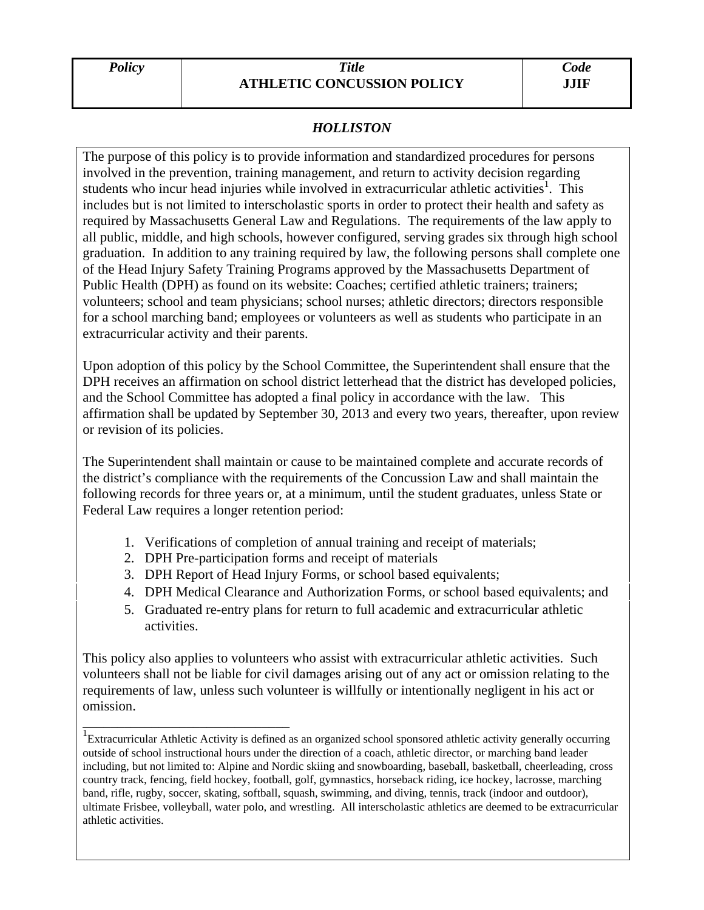## *Policy Title*  **ATHLETIC CONCUSSION POLICY**

## *HOLLISTON*

The purpose of this policy is to provide information and standardized procedures for persons involved in the prevention, training management, and return to activity decision regarding students who incur head injuries while involved in extracurricular athletic activities<sup>1</sup>. This includes but is not limited to interscholastic sports in order to protect their health and safety as required by Massachusetts General Law and Regulations. The requirements of the law apply to all public, middle, and high schools, however configured, serving grades six through high school graduation. In addition to any training required by law, the following persons shall complete one of the Head Injury Safety Training Programs approved by the Massachusetts Department of Public Health (DPH) as found on its website: Coaches; certified athletic trainers; trainers; volunteers; school and team physicians; school nurses; athletic directors; directors responsible for a school marching band; employees or volunteers as well as students who participate in an extracurricular activity and their parents.

Upon adoption of this policy by the School Committee, the Superintendent shall ensure that the DPH receives an affirmation on school district letterhead that the district has developed policies, and the School Committee has adopted a final policy in accordance with the law. This affirmation shall be updated by September 30, 2013 and every two years, thereafter, upon review or revision of its policies.

The Superintendent shall maintain or cause to be maintained complete and accurate records of the district's compliance with the requirements of the Concussion Law and shall maintain the following records for three years or, at a minimum, until the student graduates, unless State or Federal Law requires a longer retention period:

- 1. Verifications of completion of annual training and receipt of materials;
- 2. DPH Pre-participation forms and receipt of materials

\_\_\_\_\_\_\_\_\_\_\_\_\_\_\_\_\_\_\_\_\_\_\_\_\_\_\_\_\_\_

- 3. DPH Report of Head Injury Forms, or school based equivalents;
- 4. DPH Medical Clearance and Authorization Forms, or school based equivalents; and
- 5. Graduated re-entry plans for return to full academic and extracurricular athletic activities.

This policy also applies to volunteers who assist with extracurricular athletic activities. Such volunteers shall not be liable for civil damages arising out of any act or omission relating to the requirements of law, unless such volunteer is willfully or intentionally negligent in his act or omission.

<sup>&</sup>lt;sup>1</sup>Extracurricular Athletic Activity is defined as an organized school sponsored athletic activity generally occurring outside of school instructional hours under the direction of a coach, athletic director, or marching band leader including, but not limited to: Alpine and Nordic skiing and snowboarding, baseball, basketball, cheerleading, cross country track, fencing, field hockey, football, golf, gymnastics, horseback riding, ice hockey, lacrosse, marching band, rifle, rugby, soccer, skating, softball, squash, swimming, and diving, tennis, track (indoor and outdoor), ultimate Frisbee, volleyball, water polo, and wrestling. All interscholastic athletics are deemed to be extracurricular athletic activities.